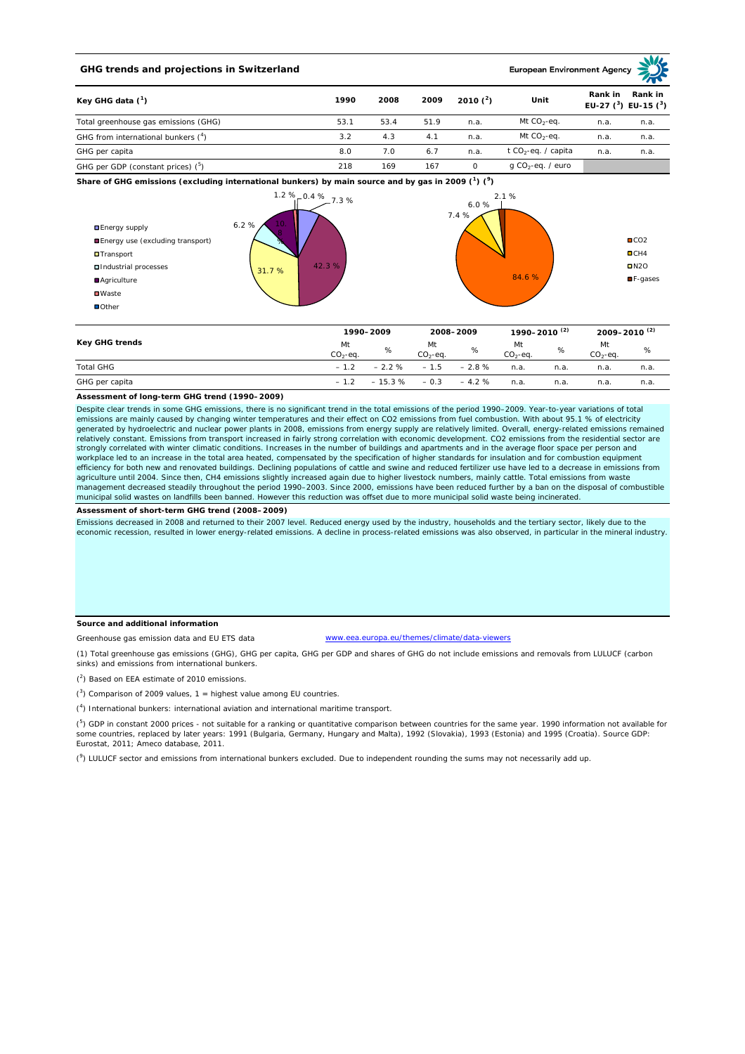## **GHG trends and projections in Switzerland**

**European Environment Age** 

| Key GHG data $(^1)$<br>Total greenhouse gas emissions (GHG) | 1990 | 2008 | 2009 | 2010 $(2)$ | Unit                            | Rank in | Rank in<br>EU-27 $(^3)$ EU-15 $(^3)$ |
|-------------------------------------------------------------|------|------|------|------------|---------------------------------|---------|--------------------------------------|
|                                                             | 53.1 | 53.4 | 51.9 | n.a.       | Mt $CO2$ -eq.                   | n.a.    | n.a.                                 |
| GHG from international bunkers (4)                          | 3.2  | 4.3  | 4.1  | n.a.       | Mt $CO_2$ -eq.                  | n.a.    | n.a.                                 |
| GHG per capita                                              | 8.0  | 7.0  | 6.7  | n.a.       | t CO <sub>2</sub> -eq. / capita | n.a.    | n.a.                                 |
| GHG per GDP (constant prices) ( <sup>5</sup> )              | 218  | 169  | 167  |            | g CO <sub>2</sub> -eq. / euro   |         |                                      |

**Share of GHG emissions (excluding international bunkers) by main source and by gas in 2009 (<sup>1</sup> ) (<sup>9</sup> )**



| Key GHG trends   |                 | 1990-2009 |                 | 2008-2009 |                 | 1990-2010 <sup>(2)</sup> |                 | 2009-2010 <sup>(2)</sup> |  |
|------------------|-----------------|-----------|-----------------|-----------|-----------------|--------------------------|-----------------|--------------------------|--|
|                  | Mt<br>$CO2-eq.$ | %         | Mt<br>$CO2-ea.$ | %         | Mt<br>$CO2-eq.$ | %                        | Mt<br>$CO2-eq.$ | %                        |  |
| <b>Total GHG</b> | $-1.2$          | $-2.2%$   | $-1.5$          | $-2.8%$   | n.a.            | n.a.                     | n.a.            | n.a.                     |  |
| GHG per capita   | $-1.2$          | $-15.3%$  | $-0.3$          | $-4.2%$   | n.a.            | n.a.                     | n.a.            | n.a.                     |  |

#### **Assessment of long-term GHG trend (1990–2009)**

Despite clear trends in some GHG emissions, there is no significant trend in the total emissions of the period 1990–2009. Year-to-year variations of total emissions are mainly caused by changing winter temperatures and their effect on CO2 emissions from fuel combustion. With about 95.1 % of electricity generated by hydroelectric and nuclear power plants in 2008, emissions from energy supply are relatively limited. Overall, energy-related emissions remained relatively constant. Emissions from transport increased in fairly strong correlation with economic development. CO2 emissions from the residential sector are strongly correlated with winter climatic conditions. Increases in the number of buildings and apartments and in the average floor space per person and workplace led to an increase in the total area heated, compensated by the specification of higher standards for insulation and for combustion equipment<br>efficiency for both new and renovated buildings. Declining populations agriculture until 2004. Since then, CH4 emissions slightly increased again due to higher livestock numbers, mainly cattle. Total emissions from waste management decreased steadily throughout the period 1990–2003. Since 2000, emissions have been reduced further by a ban on the disposal of combustible municipal solid wastes on landfills been banned. However this reduction was offset due to more municipal solid waste being incinerated.

**Assessment of short-term GHG trend (2008–2009)**

Emissions decreased in 2008 and returned to their 2007 level. Reduced energy used by the industry, households and the tertiary sector, likely due to the economic recession, resulted in lower energy-related emissions. A decline in process-related emissions was also observed, in particular in the mineral industry.

#### **Source and additional information**

Greenhouse gas emission data and EU ETS data

www.eea.europa.eu/themes/climate/data-viewers

(1) Total greenhouse gas emissions (GHG), GHG per capita, GHG per GDP and shares of GHG do not include emissions and removals from LULUCF (carbon sinks) and emissions from international bunkers.

( 2 ) Based on EEA estimate of 2010 emissions.

 $(3)$  Comparison of 2009 values, 1 = highest value among EU countries.

( 4 ) International bunkers: international aviation and international maritime transport.

 $(^5)$  GDP in constant 2000 prices - not suitable for a ranking or quantitative comparison between countries for the same year. 1990 information not available for some countries, replaced by later years: 1991 (Bulgaria, Germany, Hungary and Malta), 1992 (Slovakia), 1993 (Estonia) and 1995 (Croatia). Source GDP: Eurostat, 2011; Ameco database, 2011.

(<sup>9</sup>) LULUCF sector and emissions from international bunkers excluded. Due to independent rounding the sums may not necessarily add up.